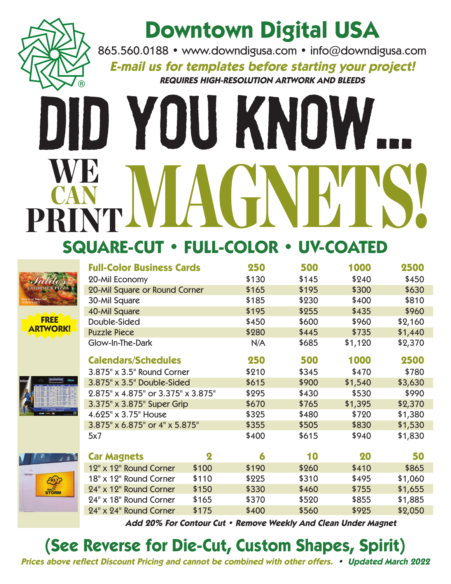

## **Downtown Digital USA**

865.560.0188 • www.downdigusa.com • info@downdigusa.com

**E-mail us for templates before starting your project! REQUIRES HIGH-RESOLUTION ARTWORK AND BLEEDS**

# Did You Know... WE MAGNETS! CAN PRINT **SQUARE-CUT • FULL-COLOR • UV-COATED**





| believe | --                                                                                                                                                            | $\cdots$                                                                                                                                                                                                                                                                                              | 48.83<br><b>THEFT</b><br>2005 SEASON SCHEDULE                                                                                                  | <b>Change</b>                                                                                                                                                                                                                                                                                                                                                        |  |  |  |
|---------|---------------------------------------------------------------------------------------------------------------------------------------------------------------|-------------------------------------------------------------------------------------------------------------------------------------------------------------------------------------------------------------------------------------------------------------------------------------------------------|------------------------------------------------------------------------------------------------------------------------------------------------|----------------------------------------------------------------------------------------------------------------------------------------------------------------------------------------------------------------------------------------------------------------------------------------------------------------------------------------------------------------------|--|--|--|
|         | ---<br>                                                                                                                                                       | <br>٠                                                                                                                                                                                                                                                                                                 | <b>Printer</b>                                                                                                                                 | <b>AAM</b><br>w                                                                                                                                                                                                                                                                                                                                                      |  |  |  |
|         | $\overline{a}$<br><b>School Brand</b><br><br>--<br><b><i>Change Tree</i></b><br><br><b>La Suite</b><br><b>Advertising</b><br><b>A CALL AS MAIN A SHOPLANE</b> | $\overline{a}$<br>٠<br><b>Service</b><br>--<br>44.4<br><br>-<br>--<br><b>A</b><br><b>SEA</b><br>٠<br>-<br>÷<br>14.4<br>s<br>$\overline{a}$<br>-<br>$\sim$<br>$\sim$<br><b>Will</b><br>٠<br>$\sim$<br>m.<br>$\sim$<br><b>Now</b><br><b>NAME</b><br>$\overline{a}$<br><b>STATISTICS</b><br><b>START</b> | <b>Miller</b><br><b>Donald Fax</b><br><b>Call Card</b><br>--<br>--<br>---<br><b>Alan</b><br>$\overline{a}$<br>--<br>$\cdots$<br><b>Ada fur</b> | <b>SECURITY</b><br><b>SHALL IN</b><br>m.<br>$\sim$<br><b>Mar</b><br>$\sim$<br>×<br><b>Sales</b><br>÷<br><b>LEW</b><br><b>Simple 1</b><br>1879<br><b>AN</b><br><b>SALE</b><br><b>ALC</b><br>٠<br>14.4<br>$\overline{1}$<br><b>SEA</b><br>٠<br><b>Marine</b><br>×<br><b>Advise</b><br><b>Marine</b><br>$\sim$<br>×<br><b>ARM</b><br>÷<br><b>SEA</b><br>s<br><b>SEA</b> |  |  |  |
|         |                                                                                                                                                               |                                                                                                                                                                                                                                                                                                       |                                                                                                                                                |                                                                                                                                                                                                                                                                                                                                                                      |  |  |  |
|         | (400) 998-TIXS simply and with simultaneous com-<br>for some discount to days, call 1998 980-8800.                                                            |                                                                                                                                                                                                                                                                                                       |                                                                                                                                                |                                                                                                                                                                                                                                                                                                                                                                      |  |  |  |
|         |                                                                                                                                                               | <b>CANTER</b>                                                                                                                                                                                                                                                                                         |                                                                                                                                                | ____                                                                                                                                                                                                                                                                                                                                                                 |  |  |  |



|                                | 20-Mil Economy                     |                  | \$130 | \$145 | \$240   | \$450   |
|--------------------------------|------------------------------------|------------------|-------|-------|---------|---------|
|                                | 20-Mil Square or Round Corner      |                  | \$165 | \$195 | \$300   | \$630   |
|                                | 30-Mil Square                      |                  | \$185 | \$230 | \$400   | \$810   |
| <b>FREE</b><br><b>ARTWORK!</b> | 40-Mil Square                      |                  | \$195 | \$255 | \$435   | \$960   |
|                                | Double-Sided                       |                  | \$450 | \$600 | \$960   | \$2,160 |
|                                | <b>Puzzle Piece</b>                |                  | \$280 | \$445 | \$735   | \$1,440 |
|                                | Glow-In-The-Dark                   |                  | N/A   | \$685 | \$1,120 | \$2,370 |
|                                | <b>Calendars/Schedules</b>         |                  | 250   | 500   | 1000    | 2500    |
|                                | 3.875" x 3.5" Round Corner         |                  | \$210 | \$345 | \$470   | \$780   |
|                                | 3.875" x 3.5" Double-Sided         |                  | \$615 | \$900 | \$1,540 | \$3,630 |
|                                | 2.875" x 4.875" or 3.375" x 3.875" |                  | \$295 | \$430 | \$530   | \$990   |
|                                | 3.375" x 3.875" Super Grip         |                  | \$670 | \$765 | \$1,395 | \$2,370 |
|                                | 4.625" x 3.75" House               |                  | \$325 | \$480 | \$720   | \$1,380 |
|                                | 3.875" x 6.875" or 4" x 5.875"     |                  | \$355 | \$505 | \$830   | \$1,530 |
|                                | 5x7                                |                  | \$400 | \$615 | \$940   | \$1,830 |
| $\sqrt{2}$                     | <b>Car Magnets</b>                 | $\boldsymbol{2}$ | 6     | 10    | 20      | 50      |
| $rac{3.7}{4}$<br><b>sTORM</b>  | 12" x 12" Round Corner             | \$100            | \$190 | \$260 | \$410   | \$865   |
|                                | 18" x 12" Round Corner             | \$110            | \$225 | \$310 | \$495   | \$1,060 |
|                                | 24" x 12" Round Corner             | \$150            | \$330 | \$460 | \$755   | \$1,655 |
|                                | 24" x 18" Round Corner             | \$165            | \$370 | \$520 | \$855   | \$1,885 |
|                                | 24" x 24" Round Corner             | \$175            | \$400 | \$560 | \$925   | \$2,050 |

**Full-Color Business Cards 250 500 1000 2500**

**Add 20% For Contour Cut • Remove Weekly And Clean Under Magnet**

### **(See Reverse for Die-Cut, Custom Shapes, Spirit)**

**Prices above reflect Discount Pricing and cannot be combined with other offers. • Updated March 2022**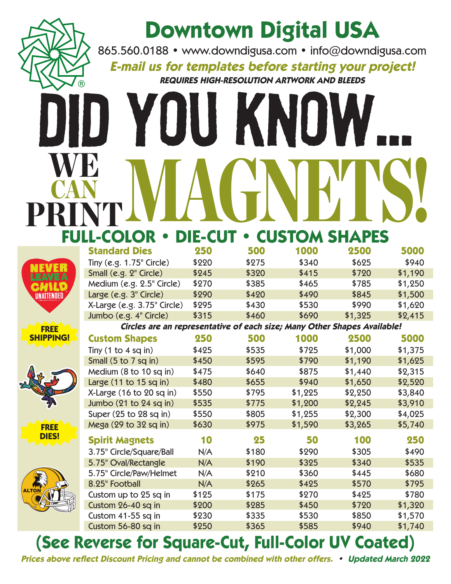

|                     | <b>Standard Dies</b>                                                     | 250   | 500   | 1000    | 2500    | 5000    |  |  |
|---------------------|--------------------------------------------------------------------------|-------|-------|---------|---------|---------|--|--|
| AVE A<br>UNATTENDED | Tiny (e.g. 1.75" Circle)                                                 | \$220 | \$275 | \$340   | \$625   | \$940   |  |  |
|                     | Small (e.g. 2" Circle)                                                   | \$245 | \$320 | \$415   | \$720   | \$1,190 |  |  |
|                     | Medium (e.g. 2.5" Circle)                                                | \$270 | \$385 | \$465   | \$785   | \$1,250 |  |  |
|                     | Large (e.g. 3" Circle)                                                   | \$290 | \$420 | \$490   | \$845   | \$1,500 |  |  |
|                     | X-Large (e.g. 3.75" Circle)                                              | \$295 | \$430 | \$530   | \$990   | \$1,620 |  |  |
|                     | Jumbo (e.g. 4" Circle)                                                   | \$315 | \$460 | \$690   | \$1,325 | \$2,415 |  |  |
| <b>FREE</b>         | Circles are an representative of each size; Many Other Shapes Available! |       |       |         |         |         |  |  |
| <b>SHIPPING!</b>    | <b>Custom Shapes</b>                                                     | 250   | 500   | 1000    | 2500    | 5000    |  |  |
|                     | Tiny $(1 to 4 sq in)$                                                    | \$425 | \$535 | \$725   | \$1,000 | \$1,375 |  |  |
|                     | Small (5 to 7 sq in)                                                     | \$450 | \$595 | \$790   | \$1,190 | \$1,625 |  |  |
|                     | Medium (8 to 10 sq in)                                                   | \$475 | \$640 | \$875   | \$1,440 | \$2,315 |  |  |
|                     | Large $(11$ to $15$ sq in)                                               | \$480 | \$655 | \$940   | \$1,650 | \$2,520 |  |  |
|                     | $X$ -Large (16 to 20 sq in)                                              | \$550 | \$795 | \$1,225 | \$2,250 | \$3,840 |  |  |
|                     | Jumbo (21 to 24 sq in)                                                   | \$535 | \$775 | \$1,200 | \$2,245 | \$3,910 |  |  |
|                     | Super (25 to 28 sq in)                                                   | \$550 | \$805 | \$1,255 | \$2,300 | \$4,025 |  |  |
| <b>FREE</b>         | Mega (29 to 32 sq in)                                                    | \$630 | \$975 | \$1,590 | \$3,265 | \$5,740 |  |  |
| <b>DIES!</b>        | <b>Spirit Magnets</b>                                                    | 10    | 25    | 50      | 100     | 250     |  |  |
|                     | 3.75" Circle/Square/Ball                                                 | N/A   | \$180 | \$290   | \$305   | \$490   |  |  |
|                     | 5.75" Oval/Rectangle                                                     | N/A   | \$190 | \$325   | \$340   | \$535   |  |  |
|                     | 5.75" Circle/Paw/Helmet                                                  | N/A   | \$210 | \$360   | \$445   | \$680   |  |  |
|                     | 8.25" Football                                                           | N/A   | \$265 | \$425   | \$570   | \$795   |  |  |
|                     | Custom up to 25 sq in                                                    | \$125 | \$175 | \$270   | \$425   | \$780   |  |  |
|                     | Custom 26-40 sq in                                                       | \$200 | \$285 | \$450   | \$720   | \$1,320 |  |  |
|                     | Custom 41-55 sq in                                                       | \$230 | \$335 | \$530   | \$850   | \$1,570 |  |  |
|                     | Custom 56-80 sq in                                                       | \$250 | \$365 | \$585   | \$940   | \$1,740 |  |  |

s

### **(See Reverse for Square-Cut, Full-Color UV Coated)**

**Prices above reflect Discount Pricing and cannot be combined with other offers. • Updated March 2022**